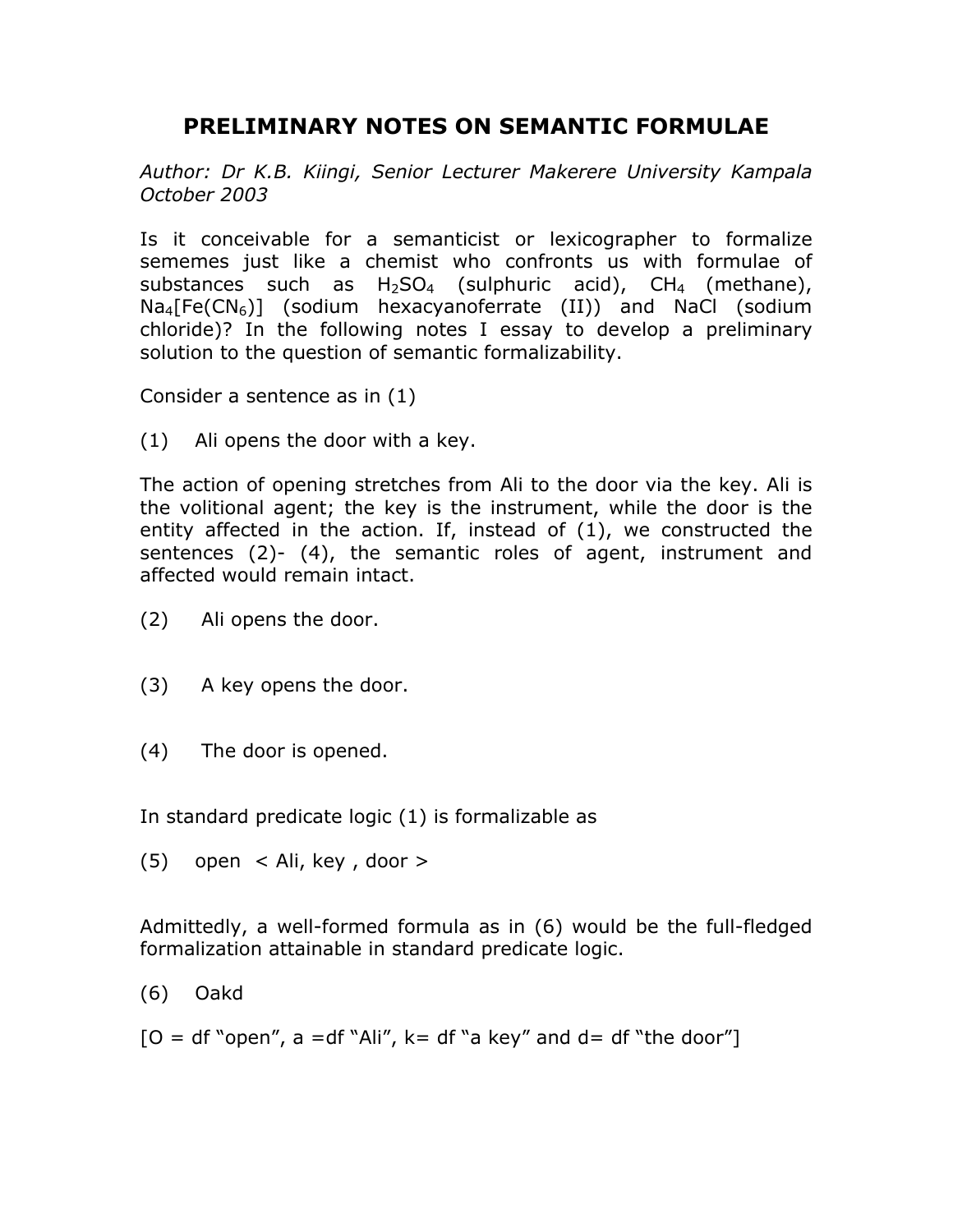## **PRELIMINARY NOTES ON SEMANTIC FORMULAE**

*Author: Dr K.B. Kiingi, Senior Lecturer Makerere University Kampala October 2003* 

Is it conceivable for a semanticist or lexicographer to formalize sememes just like a chemist who confronts us with formulae of substances such as  $H_2SO_4$  (sulphuric acid),  $CH_4$  (methane),  $Na_4[Fe(CN_6)]$  (sodium hexacyanoferrate (II)) and NaCl (sodium chloride)? In the following notes I essay to develop a preliminary solution to the question of semantic formalizability.

Consider a sentence as in (1)

(1) Ali opens the door with a key.

The action of opening stretches from Ali to the door via the key. Ali is the volitional agent; the key is the instrument, while the door is the entity affected in the action. If, instead of (1), we constructed the sentences (2)- (4), the semantic roles of agent, instrument and affected would remain intact.

- (2) Ali opens the door.
- (3) A key opens the door.
- (4) The door is opened.

In standard predicate logic (1) is formalizable as

(5) open < Ali, key , door >

Admittedly, a well-formed formula as in (6) would be the full-fledged formalization attainable in standard predicate logic.

(6) Oakd

 $[O = df"open", a = df"Ali", k = df"a key" and d = df"the door"$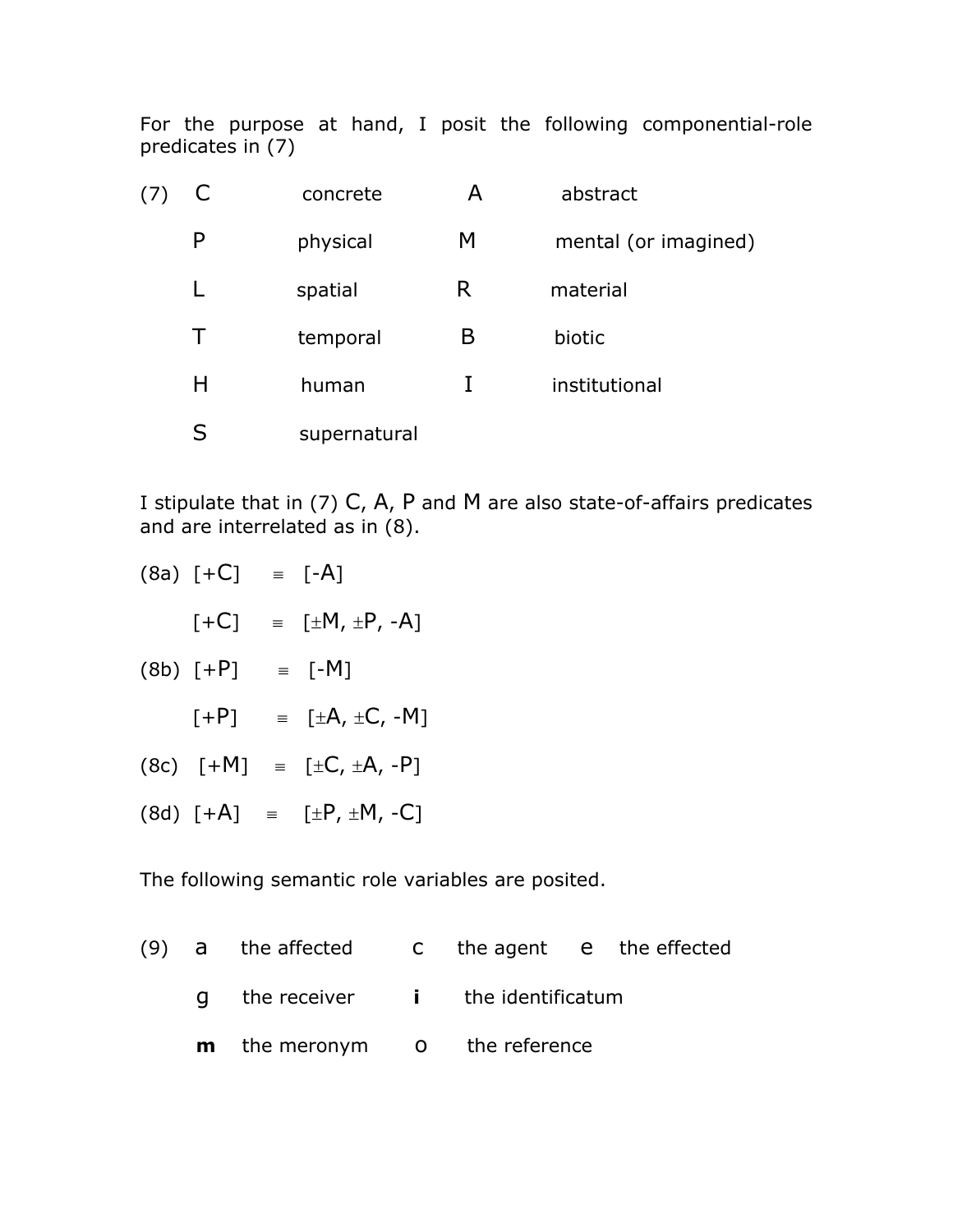For the purpose at hand, I posit the following componential-role predicates in (7)

| C. | concrete     | А | abstract             |
|----|--------------|---|----------------------|
| P  | physical     | M | mental (or imagined) |
| L  | spatial      | R | material             |
| Τ  | temporal     | В | biotic               |
| H  | human        |   | institutional        |
| S  | supernatural |   |                      |

I stipulate that in (7) C, A, P and M are also state-of-affairs predicates and are interrelated as in (8).

| $(8a)$ [+C] | $=$ [-A]                              |
|-------------|---------------------------------------|
| $[+C]$      | $= \pm M, \pm P, -A$ ]                |
| $(8b)$ [+P] | $\equiv$ [-M]                         |
| $[+P]$      | $\equiv$ [ $\pm A$ , $\pm C$ , $-M$ ] |
| $(8c)$ [+M] | $=$ $[\pm C, \pm A, -P]$              |
| $(8d)$ [+A] | $\equiv$ $[\pm P, \pm M, -C]$         |
|             |                                       |

The following semantic role variables are posited.

(9) a the affected c the agent e the effected g the receiver **i** the identificatum **m** the meronym o the reference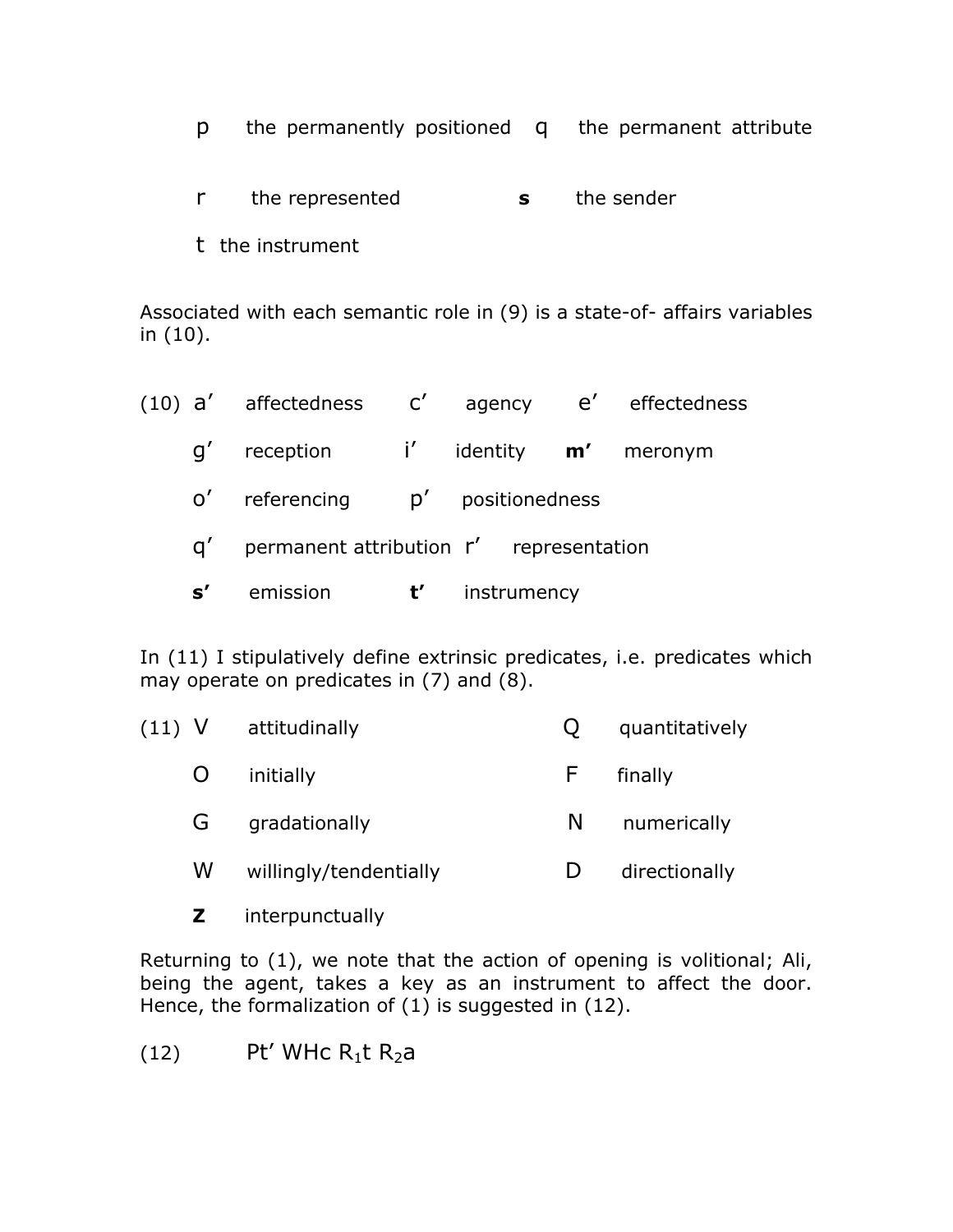- p the permanently positioned q the permanent attribute
- r the represented **s** the sender
- t the instrument

Associated with each semantic role in (9) is a state-of- affairs variables in (10).

|               | (10) $a'$ affectedness $c'$ agency $e'$ effectedness |   |                   |  |
|---------------|------------------------------------------------------|---|-------------------|--|
| $\mathsf{q}'$ | reception i' identity <b>m'</b> meronym              |   |                   |  |
| O'            | referencing                                          |   | p' positionedness |  |
| $\mathsf{a}'$ | permanent attribution r' representation              |   |                   |  |
| $\mathbf{s}'$ | emission                                             | ť | instrumency       |  |

In (11) I stipulatively define extrinsic predicates, i.e. predicates which may operate on predicates in (7) and (8).

| $(11)$ V     | attitudinally          |    | quantitatively |
|--------------|------------------------|----|----------------|
| $\mathbf{O}$ | initially              | H. | finally        |
| G            | gradationally          | N  | numerically    |
| W            | willingly/tendentially |    | directionally  |
|              |                        |    |                |

**Z** interpunctually

Returning to (1), we note that the action of opening is volitional; Ali, being the agent, takes a key as an instrument to affect the door. Hence, the formalization of (1) is suggested in (12).

(12) Pt' WHc  $R_1t R_2a$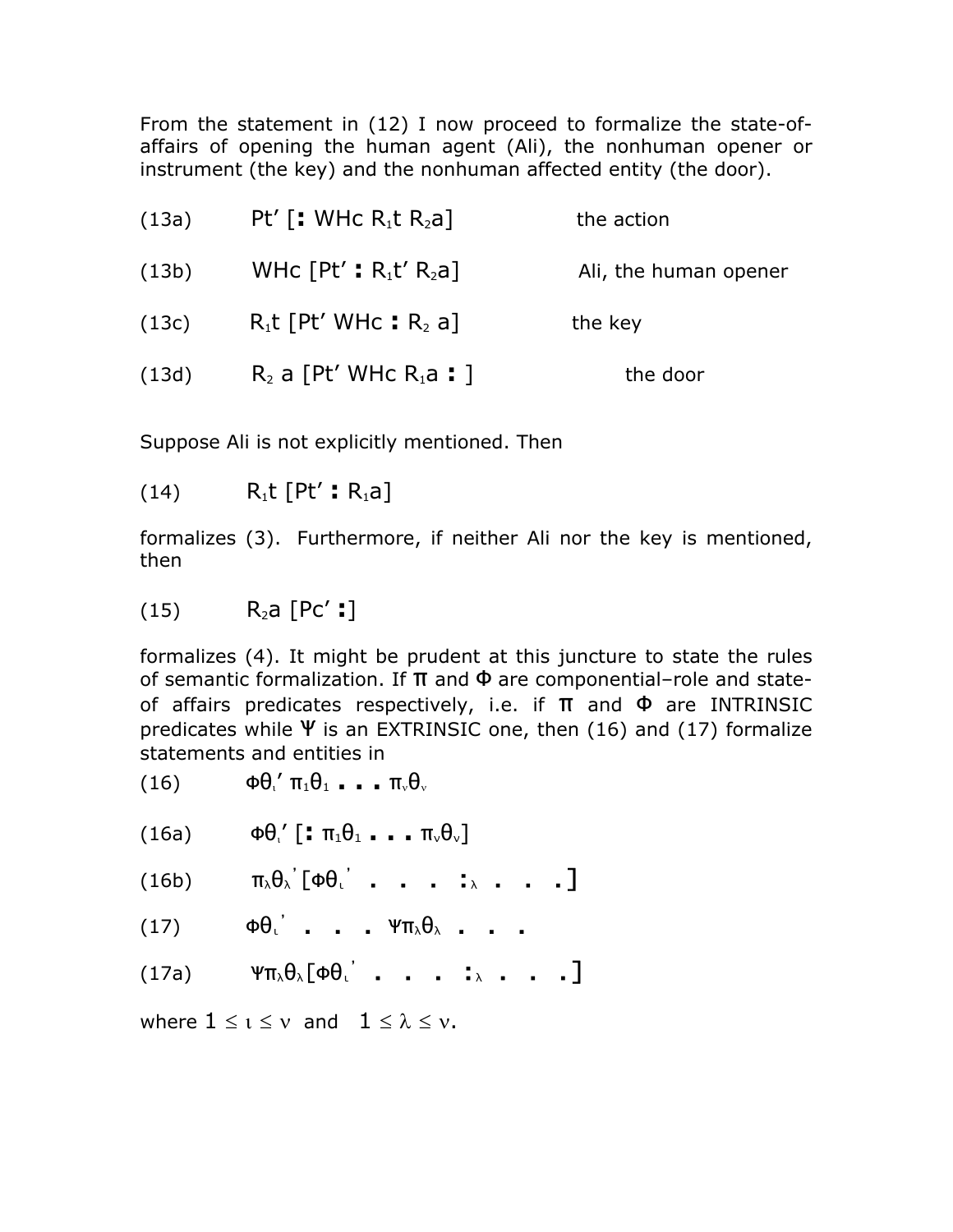From the statement in (12) I now proceed to formalize the state-ofaffairs of opening the human agent (Ali), the nonhuman opener or instrument (the key) and the nonhuman affected entity (the door).

| (13a) | Pt' $\lceil$ : WHc R <sub>1</sub> t R <sub>2</sub> a] | the action            |
|-------|-------------------------------------------------------|-----------------------|
| (13b) | WHC $[Pt' : R_1t' R_2a]$                              | Ali, the human opener |
| (13c) | $R_1$ t [Pt' WHc : $R_2$ a]                           | the key               |
| (13d) | $R_2$ a [Pt' WHc $R_1$ a : ]                          | the door              |

Suppose Ali is not explicitly mentioned. Then

 $(14)$   $R_1t$   $[Pt' : R_1a]$ 

formalizes (3). Furthermore, if neither Ali nor the key is mentioned, then

 $(15)$  R<sub>2</sub>a  $[PC' : ]$ 

formalizes (4). It might be prudent at this juncture to state the rules of semantic formalization. If  $\pi$  and  $\Phi$  are componential-role and stateof affairs predicates respectively, i.e. if  $\pi$  and  $\Phi$  are INTRINSIC predicates while  $\Psi$  is an EXTRINSIC one, then (16) and (17) formalize statements and entities in

- (16)  $\Phi \theta'_1 \pi_1 \theta_1 \dots \pi_v \theta_v$
- (16a)  $\Phi \theta_i'$  **[:**  $\pi_1 \theta_1 \cdot \cdot \cdot \pi_v \theta_v$ ]
- $(16b)$  $\left[\Phi\theta_{\iota}\right]$  . . . :  $\lambda$  . . . ]
- $(17)$  $\Phi \Theta$ <sup>'</sup> . . .  $\Psi \pi_{\lambda} \Theta_{\lambda}$  . . .
- (17a)  $\qquad \Psi \pi_{\lambda} \theta_{\lambda} [\Phi \theta_{\iota}^{\prime} \quad \ldots \quad \ldots \quad \vdots \quad \ldots \quad \ldots]$

where  $1 \leq i \leq v$  and  $1 \leq \lambda \leq v$ .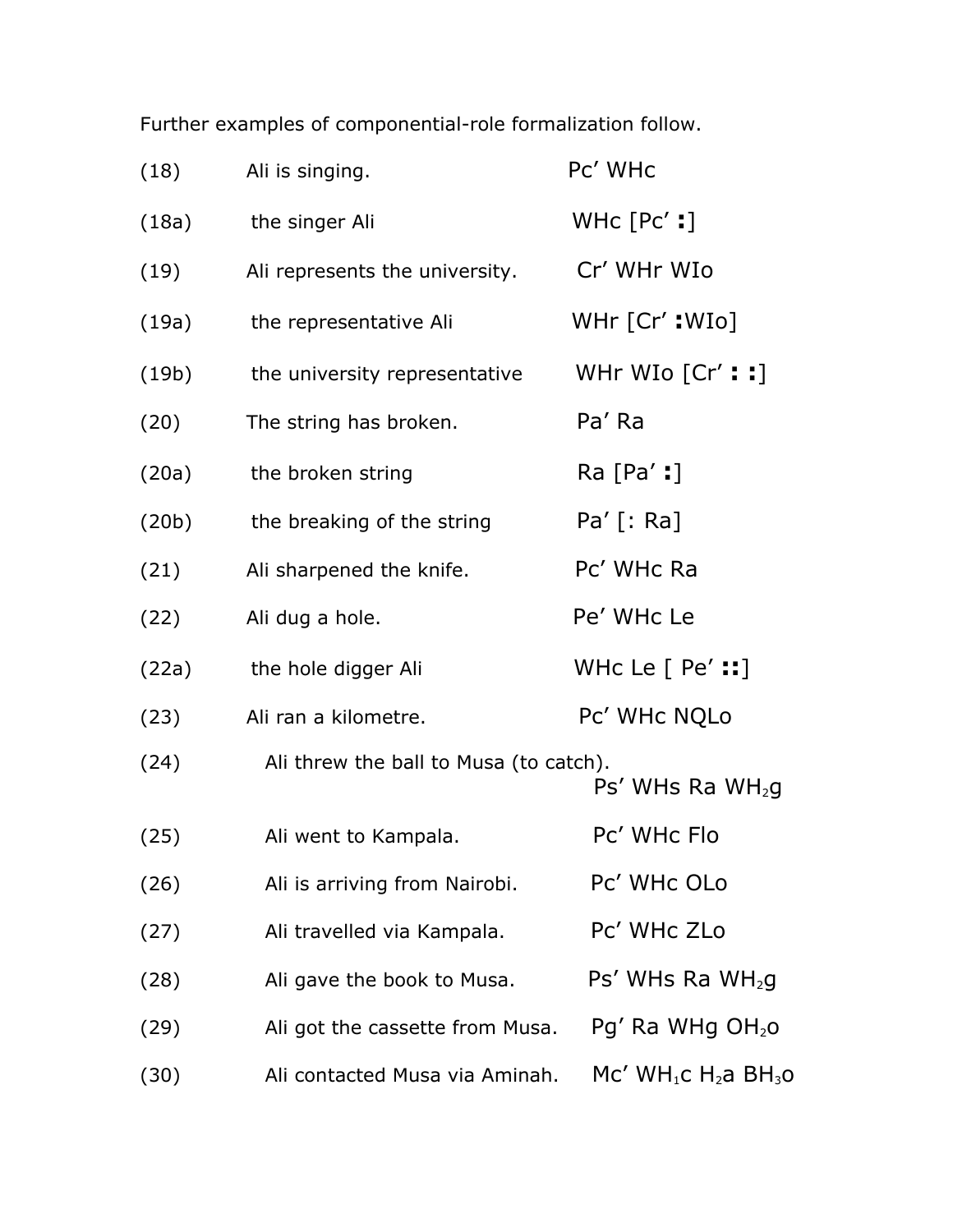Further examples of componential-role formalization follow.

| (18)  | Ali is singing.                        | Pc' WHc                        |
|-------|----------------------------------------|--------------------------------|
| (18a) | the singer Ali                         | WHC $[PC':]$                   |
| (19)  | Ali represents the university.         | Cr' WHr WIo                    |
| (19a) | the representative Ali                 | $WHr$ [Cr': $W$ Io]            |
| (19b) | the university representative          | WHr WIo $[Cr':!]$              |
| (20)  | The string has broken.                 | Pa' Ra                         |
| (20a) | the broken string                      | $Ra$ [Pa' :]                   |
| (20b) | the breaking of the string             | $Pa'$ [: Ra]                   |
| (21)  | Ali sharpened the knife.               | Pc' WHc Ra                     |
| (22)  | Ali dug a hole.                        | Pe' WHc Le                     |
| (22a) | the hole digger Ali                    | WHC Le $[$ Pe' $::]$           |
| (23)  | Ali ran a kilometre.                   | Pc' WHc NQLo                   |
| (24)  | Ali threw the ball to Musa (to catch). | $Ps'$ WHs Ra WH <sub>2</sub> g |
| (25)  | Ali went to Kampala.                   | Pc' WHc Flo                    |
| (26)  | Ali is arriving from Nairobi.          | Pc' WHc OLo                    |
| (27)  | Ali travelled via Kampala.             | Pc' WHc ZLo                    |
| (28)  | Ali gave the book to Musa.             | $Ps'$ WHs Ra WH <sub>2</sub> g |
| (29)  | Ali got the cassette from Musa.        | $Pg'$ Ra WHg $OH2O$            |
| (30)  | Ali contacted Musa via Aminah.         | $Mc' WH_1C H_2A BH_3O$         |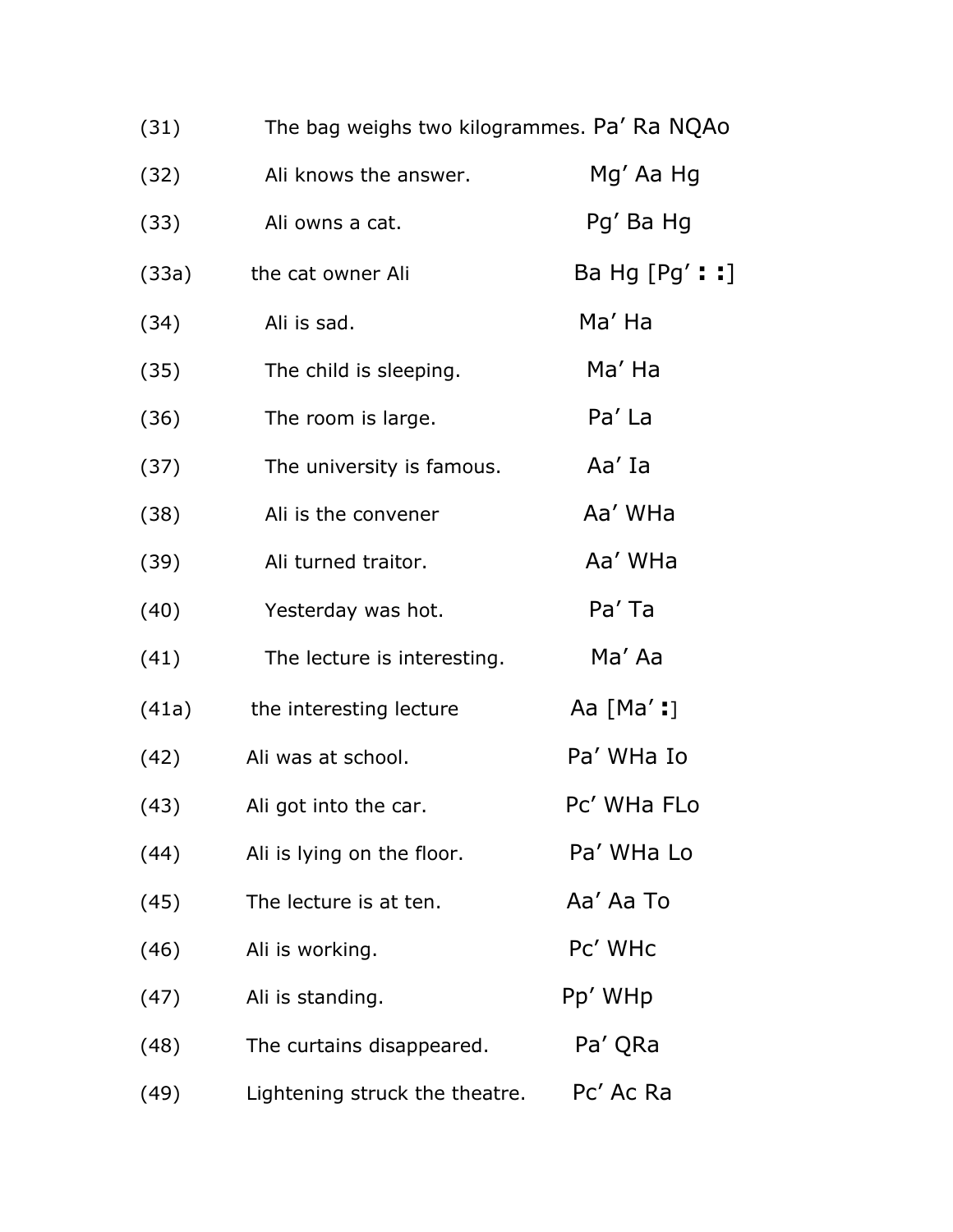| (31)  | The bag weighs two kilogrammes. Pa' Ra NQAo |                 |
|-------|---------------------------------------------|-----------------|
| (32)  | Ali knows the answer.                       | Mg' Aa Hg       |
| (33)  | Ali owns a cat.                             | Pg' Ba Hg       |
| (33a) | the cat owner Ali                           | Ba Hg $[Pg'::]$ |
| (34)  | Ali is sad.                                 | Ma' Ha          |
| (35)  | The child is sleeping.                      | Ma' Ha          |
| (36)  | The room is large.                          | Pa' La          |
| (37)  | The university is famous.                   | Aa' Ia          |
| (38)  | Ali is the convener                         | Aa' WHa         |
| (39)  | Ali turned traitor.                         | Aa' WHa         |
| (40)  | Yesterday was hot.                          | Pa' Ta          |
| (41)  | The lecture is interesting.                 | Ma' Aa          |
| (41a) | the interesting lecture                     | Aa $[Ma':]$     |
| (42)  | Ali was at school.                          | Pa' WHa Io      |
| (43)  | Ali got into the car.                       | Pc' WHa FLo     |
| (44)  | Ali is lying on the floor.                  | Pa' WHa Lo      |
| (45)  | The lecture is at ten.                      | Aa' Aa To       |
| (46)  | Ali is working.                             | Pc' WHc         |
| (47)  | Ali is standing.                            | Pp' WHp         |
| (48)  | The curtains disappeared.                   | Pa' QRa         |
| (49)  | Lightening struck the theatre.              | Pc' Ac Ra       |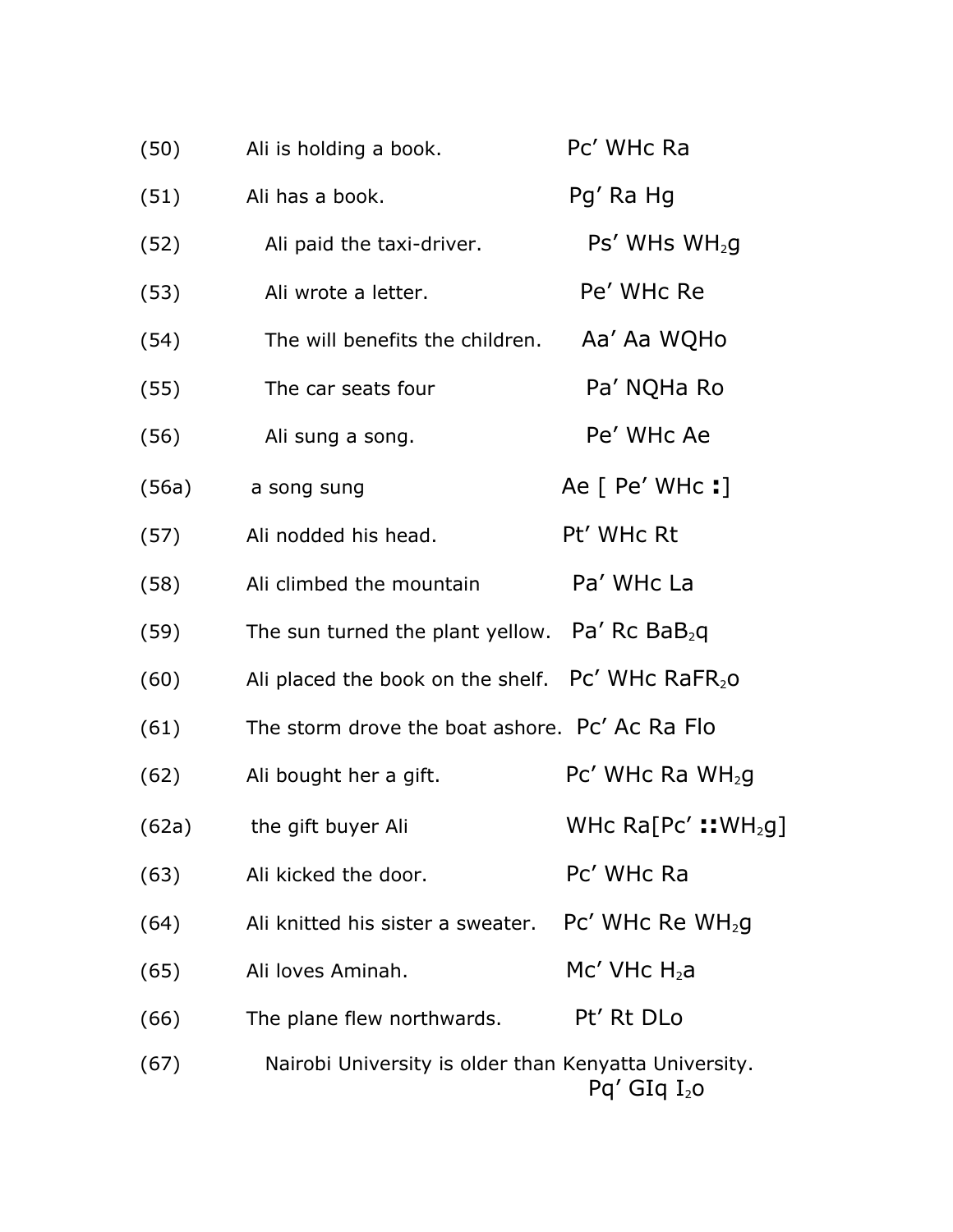| (50)  | Ali is holding a book.                                                 | Pc' WHc Ra                      |
|-------|------------------------------------------------------------------------|---------------------------------|
| (51)  | Ali has a book.                                                        | Pg' Ra Hg                       |
| (52)  | Ali paid the taxi-driver.                                              | $Ps'$ WHs WH <sub>2</sub> g     |
| (53)  | Ali wrote a letter.                                                    | Pe' WHc Re                      |
| (54)  | The will benefits the children.                                        | Aa' Aa WQHo                     |
| (55)  | The car seats four                                                     | Pa' NQHa Ro                     |
| (56)  | Ali sung a song.                                                       | Pe' WHc Ae                      |
| (56a) | a song sung                                                            | Ae [ Pe' WHc : ]                |
| (57)  | Ali nodded his head.                                                   | Pt' WHc Rt                      |
| (58)  | Ali climbed the mountain                                               | Pa' WHc La                      |
| (59)  | The sun turned the plant yellow. Pa' Rc $BaB_2q$                       |                                 |
| (60)  | Ali placed the book on the shelf. Pc' WHc RaFR20                       |                                 |
| (61)  | The storm drove the boat ashore. Pc' Ac Ra Flo                         |                                 |
| (62)  | Ali bought her a gift.                                                 | $Pc'$ WHc Ra WH <sub>2</sub> g  |
| (62a) | the gift buyer Ali                                                     | WHc Ra[Pc':: WH <sub>2</sub> g] |
| (63)  | Ali kicked the door.                                                   | Pc' WHc Ra                      |
| (64)  | Ali knitted his sister a sweater. $\cdot$ Pc' WHc Re WH <sub>2</sub> g |                                 |
| (65)  | Ali loves Aminah.                                                      | $Mc'$ VHc $H_2$ a               |
| (66)  | The plane flew northwards.                                             | Pt' Rt DLo                      |
| (67)  | Nairobi University is older than Kenyatta University.                  | $Pq'$ GIq $I_2$ o               |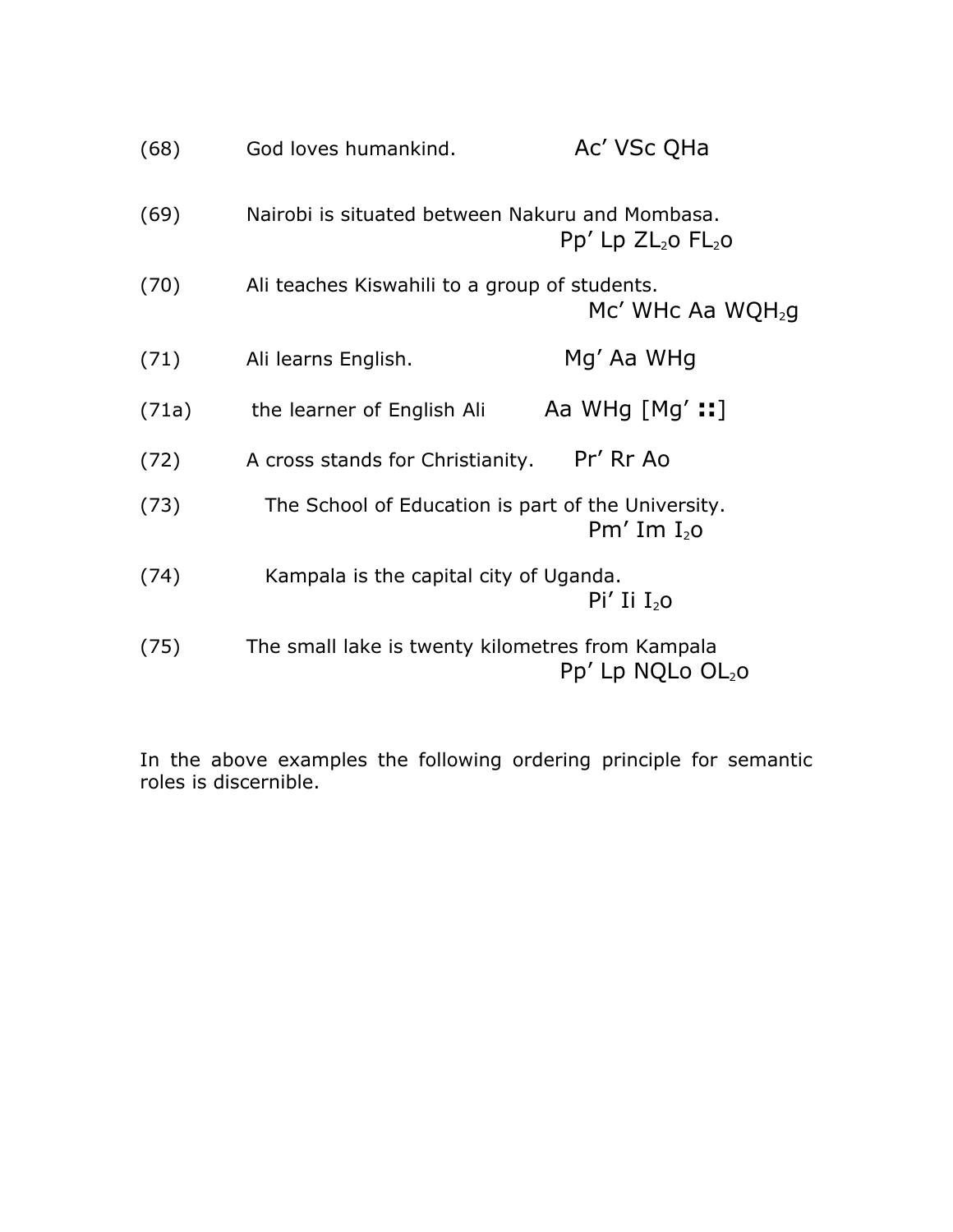| (68)  | God loves humankind.                               | Ac' VSc QHa                   |
|-------|----------------------------------------------------|-------------------------------|
| (69)  | Nairobi is situated between Nakuru and Mombasa.    | $Pp'$ Lp $ZL_2$ o $FL_2$ o    |
| (70)  | Ali teaches Kiswahili to a group of students.      | Mc' WHc Aa WQH <sub>2</sub> q |
| (71)  | Ali learns English.                                | Mg' Aa WHg                    |
| (71a) | the learner of English Ali                         | Aa WHg $[Mg':!]$              |
| (72)  | A cross stands for Christianity.                   | Pr' Rr Ao                     |
| (73)  | The School of Education is part of the University. | Pm' Im $I_{2}$ o              |
| (74)  | Kampala is the capital city of Uganda.             | $Pi'$ Ii $I_{2}$ o            |
| (75)  | The small lake is twenty kilometres from Kampala   | $Pp'$ Lp NQLo $OL2O$          |

In the above examples the following ordering principle for semantic roles is discernible.